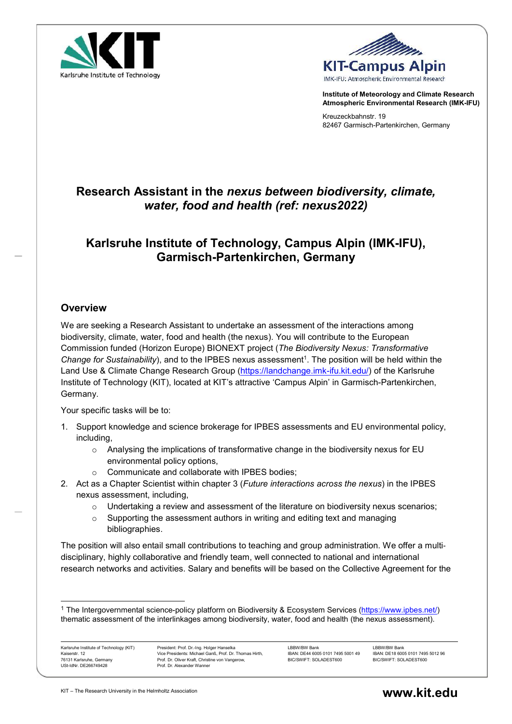



Institute of Meteorology and Climate Research Atmospheric Environmental Research (IMK-IFU)

Kreuzeckbahnstr. 19 82467 Garmisch-Partenkirchen, Germany

## Research Assistant in the nexus between biodiversity, climate, water, food and health (ref: nexus2022)

# Karlsruhe Institute of Technology, Campus Alpin (IMK-IFU), Garmisch-Partenkirchen, Germany

### **Overview**

We are seeking a Research Assistant to undertake an assessment of the interactions among biodiversity, climate, water, food and health (the nexus). You will contribute to the European Commission funded (Horizon Europe) BIONEXT project (The Biodiversity Nexus: Transformative Change for Sustainability), and to the IPBES nexus assessment<sup>1</sup>. The position will be held within the Land Use & Climate Change Research Group (https://landchange.imk-ifu.kit.edu/) of the Karlsruhe Institute of Technology (KIT), located at KIT's attractive 'Campus Alpin' in Garmisch-Partenkirchen, Germany.

Your specific tasks will be to:

- 1. Support knowledge and science brokerage for IPBES assessments and EU environmental policy, including,
	- $\circ$  Analysing the implications of transformative change in the biodiversity nexus for EU environmental policy options,
	- o Communicate and collaborate with IPBES bodies;
- 2. Act as a Chapter Scientist within chapter 3 (Future interactions across the nexus) in the IPBES nexus assessment, including,
	- $\circ$  Undertaking a review and assessment of the literature on biodiversity nexus scenarios;
	- $\circ$  Supporting the assessment authors in writing and editing text and managing bibliographies.

The position will also entail small contributions to teaching and group administration. We offer a multidisciplinary, highly collaborative and friendly team, well connected to national and international research networks and activities. Salary and benefits will be based on the Collective Agreement for the

Karlsruhe Institute of Technology (KIT) Kaiserstr. 12 76131 Karlsruhe, Germany USt-IdNr. DE266749428

-

<sup>1</sup> The Intergovernmental science-policy platform on Biodiversity & Ecosystem Services (https://www.ipbes.net/) thematic assessment of the interlinkages among biodiversity, water, food and health (the nexus assessment).

LBBW/BW Bank IBAN: DE44 6005 0101 7495 5001 49 BIC/SWIFT: SOLADEST600